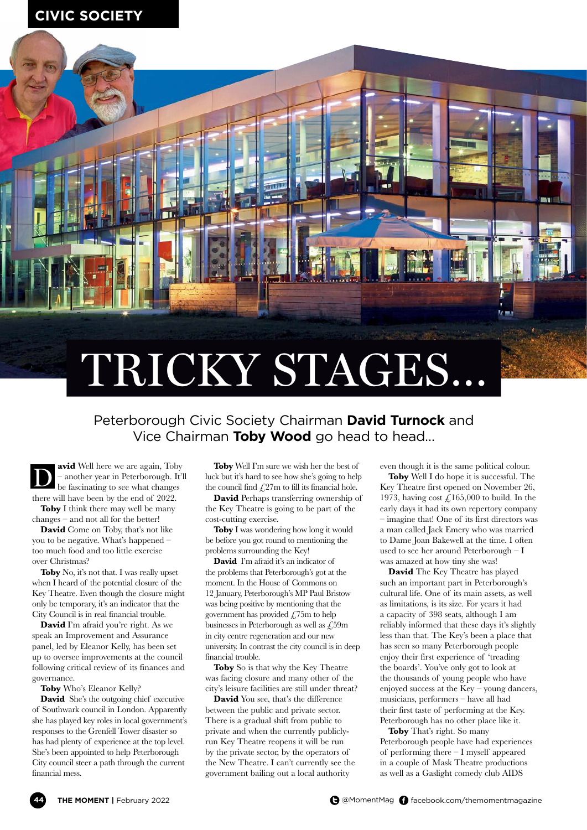## **XXXXXX CIVIC SOCIETY**



## Peterborough Civic Society Chairman **David Turnock** and Vice Chairman **Toby Wood** go head to head…

**avid** Well here we are again, Toby – another year in Peterborough. It'll be fascinating to see what changes there will have been by the end of 2022. **Toby** I think there may well be many D

changes – and not all for the better!

**David** Come on Toby, that's not like you to be negative. What's happened – too much food and too little exercise over Christmas?

**Toby** No, it's not that. I was really upset when I heard of the potential closure of the Key Theatre. Even though the closure might only be temporary, it's an indicator that the City Council is in real financial trouble.

**David** I'm afraid you're right. As we speak an Improvement and Assurance panel, led by Eleanor Kelly, has been set up to oversee improvements at the council following critical review of its finances and governance.

**Toby** Who's Eleanor Kelly?

**David** She's the outgoing chief executive of Southwark council in London. Apparently she has played key roles in local government's responses to the Grenfell Tower disaster so has had plenty of experience at the top level. She's been appointed to help Peterborough City council steer a path through the current financial mess.

**Toby** Well I'm sure we wish her the best of luck but it's hard to see how she's going to help the council find  $\text{\textsterling}27m$  to fill its financial hole.

**David** Perhaps transferring ownership of the Key Theatre is going to be part of the cost-cutting exercise.

**Toby** I was wondering how long it would be before you got round to mentioning the problems surrounding the Key!

**David** I'm afraid it's an indicator of the problems that Peterborough's got at the moment. In the House of Commons on 12 January, Peterborough's MP Paul Bristow was being positive by mentioning that the government has provided  $\angle$  75m to help businesses in Peterborough as well as £59m in city centre regeneration and our new university. In contrast the city council is in deep financial trouble.

**Toby** So is that why the Key Theatre was facing closure and many other of the city's leisure facilities are still under threat?

**David** You see, that's the difference between the public and private sector. There is a gradual shift from public to private and when the currently publiclyrun Key Theatre reopens it will be run by the private sector, by the operators of the New Theatre. I can't currently see the government bailing out a local authority

even though it is the same political colour.

**Toby** Well I do hope it is successful. The Key Theatre first opened on November 26, 1973, having cost  $\ell$ , 165,000 to build. In the early days it had its own repertory company – imagine that! One of its first directors was a man called Jack Emery who was married to Dame Joan Bakewell at the time. I often used to see her around Peterborough – I was amazed at how tiny she was!

**David** The Key Theatre has played such an important part in Peterborough's cultural life. One of its main assets, as well as limitations, is its size. For years it had a capacity of 398 seats, although I am reliably informed that these days it's slightly less than that. The Key's been a place that has seen so many Peterborough people enjoy their first experience of 'treading the boards'. You've only got to look at the thousands of young people who have enjoyed success at the Key – young dancers, musicians, performers – have all had their first taste of performing at the Key. Peterborough has no other place like it.

**Toby** That's right. So many Peterborough people have had experiences of performing there – I myself appeared in a couple of Mask Theatre productions as well as a Gaslight comedy club AIDS